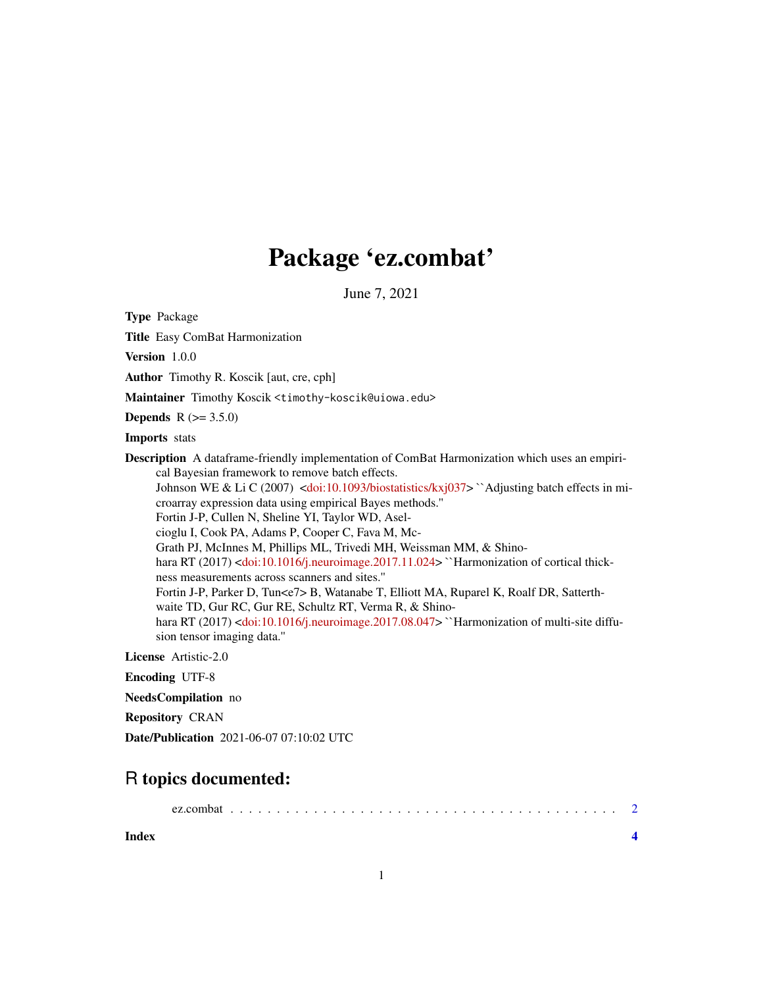## Package 'ez.combat'

June 7, 2021

Type Package

Title Easy ComBat Harmonization

Version 1.0.0

Author Timothy R. Koscik [aut, cre, cph]

Maintainer Timothy Koscik <timothy-koscik@uiowa.edu>

**Depends**  $R (= 3.5.0)$ 

Imports stats

Description A dataframe-friendly implementation of ComBat Harmonization which uses an empirical Bayesian framework to remove batch effects.

Johnson WE & Li C (2007) [<doi:10.1093/biostatistics/kxj037>](https://doi.org/10.1093/biostatistics/kxj037) ``Adjusting batch effects in microarray expression data using empirical Bayes methods.'' Fortin J-P, Cullen N, Sheline YI, Taylor WD, Aselcioglu I, Cook PA, Adams P, Cooper C, Fava M, Mc-Grath PJ, McInnes M, Phillips ML, Trivedi MH, Weissman MM, & Shino-hara RT (2017) [<doi:10.1016/j.neuroimage.2017.11.024>](https://doi.org/10.1016/j.neuroimage.2017.11.024) ``Harmonization of cortical thickness measurements across scanners and sites.'' Fortin J-P, Parker D, Tun<e7> B, Watanabe T, Elliott MA, Ruparel K, Roalf DR, Satterth-

waite TD, Gur RC, Gur RE, Schultz RT, Verma R, & Shino-hara RT (2017) [<doi:10.1016/j.neuroimage.2017.08.047>](https://doi.org/10.1016/j.neuroimage.2017.08.047) "Harmonization of multi-site diffu-

sion tensor imaging data.''

License Artistic-2.0

Encoding UTF-8

NeedsCompilation no

Repository CRAN

Date/Publication 2021-06-07 07:10:02 UTC

### R topics documented:

**Index** [4](#page-3-0)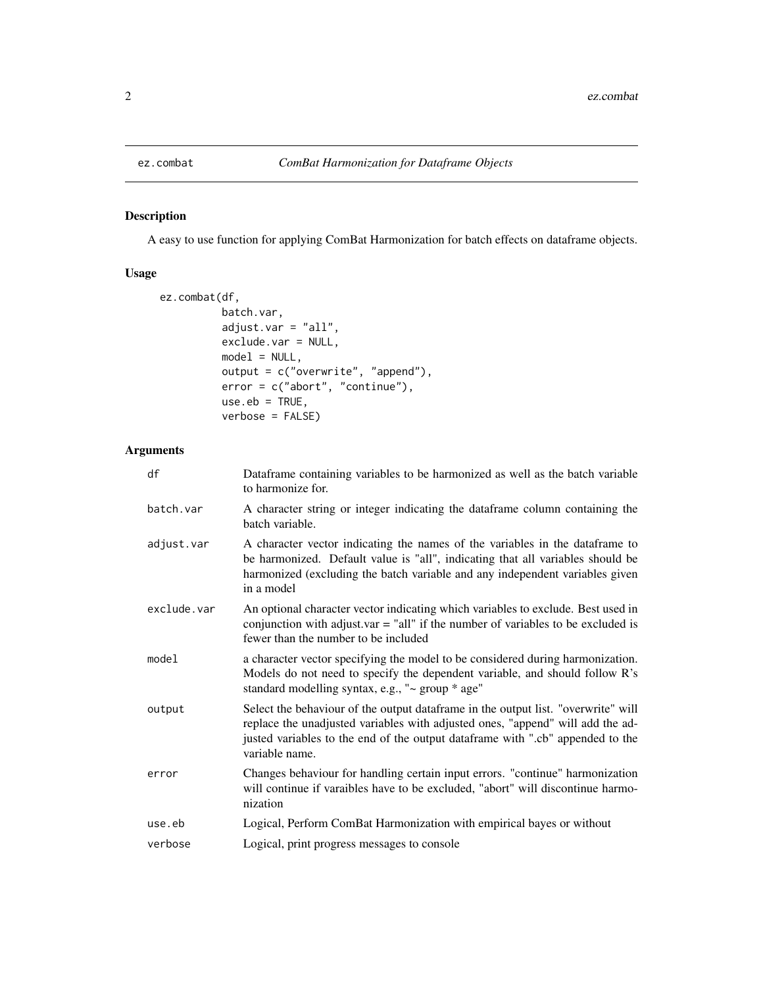<span id="page-1-0"></span>

#### Description

A easy to use function for applying ComBat Harmonization for batch effects on dataframe objects.

#### Usage

```
ez.combat(df,
          batch.var,
          adjust.var = "all",
          exclude.var = NULL,
          model = NULL,output = c("overwrite", "append"),
          error = c("abort", "continue"),
          use.eb = TRUE,verbose = FALSE)
```
#### Arguments

| df          | Dataframe containing variables to be harmonized as well as the batch variable<br>to harmonize for.                                                                                                                                                                      |
|-------------|-------------------------------------------------------------------------------------------------------------------------------------------------------------------------------------------------------------------------------------------------------------------------|
| batch.var   | A character string or integer indicating the dataframe column containing the<br>batch variable.                                                                                                                                                                         |
| adjust.var  | A character vector indicating the names of the variables in the dataframe to<br>be harmonized. Default value is "all", indicating that all variables should be<br>harmonized (excluding the batch variable and any independent variables given<br>in a model            |
| exclude.var | An optional character vector indicating which variables to exclude. Best used in<br>conjunction with adjust.var $=$ "all" if the number of variables to be excluded is<br>fewer than the number to be included                                                          |
| model       | a character vector specifying the model to be considered during harmonization.<br>Models do not need to specify the dependent variable, and should follow R's<br>standard modelling syntax, e.g., "~ group * age"                                                       |
| output      | Select the behaviour of the output dataframe in the output list. "overwrite" will<br>replace the unadjusted variables with adjusted ones, "append" will add the ad-<br>justed variables to the end of the output dataframe with ".cb" appended to the<br>variable name. |
| error       | Changes behaviour for handling certain input errors. "continue" harmonization<br>will continue if varaibles have to be excluded, "abort" will discontinue harmo-<br>nization                                                                                            |
| use.eb      | Logical, Perform ComBat Harmonization with empirical bayes or without                                                                                                                                                                                                   |
| verbose     | Logical, print progress messages to console                                                                                                                                                                                                                             |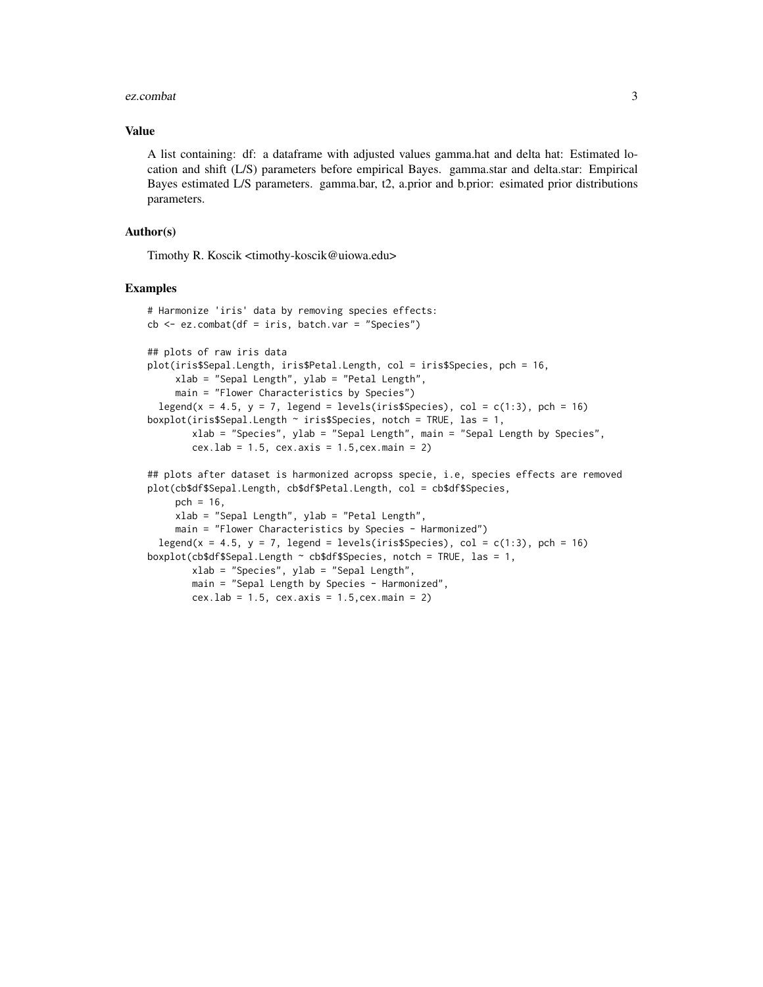#### ez.combat 3

#### Value

A list containing: df: a dataframe with adjusted values gamma.hat and delta hat: Estimated location and shift (L/S) parameters before empirical Bayes. gamma.star and delta.star: Empirical Bayes estimated L/S parameters. gamma.bar, t2, a.prior and b.prior: esimated prior distributions parameters.

#### Author(s)

Timothy R. Koscik <timothy-koscik@uiowa.edu>

#### Examples

```
# Harmonize 'iris' data by removing species effects:
cb \leq -ez.combat(df = iris, batch.var = "Species")
## plots of raw iris data
plot(iris$Sepal.Length, iris$Petal.Length, col = iris$Species, pch = 16,
     xlab = "Sepal Length", ylab = "Petal Length",
     main = "Flower Characteristics by Species")
 legend(x = 4.5, y = 7, legend = levels(iris$Species), col = c(1:3), pch = 16)
boxplot(iris$Sepal.Length \sim iris$Species, notch = TRUE, las = 1,
       xlab = "Species", ylab = "Sepal Length", main = "Sepal Length by Species",
       cex.lab = 1.5, cex.axis = 1.5,cex.main = 2)
## plots after dataset is harmonized acropss specie, i.e, species effects are removed
plot(cb$df$Sepal.Length, cb$df$Petal.Length, col = cb$df$Species,
    pch = 16,
     xlab = "Sepal Length", ylab = "Petal Length",
    main = "Flower Characteristics by Species - Harmonized")
 legend(x = 4.5, y = 7, legend = levels(iris$Species), col = c(1:3), pch = 16)
boxplot(cb$df$Sepal.Length ~ cb$df$Species, notch = TRUE, las = 1,xlab = "Species", ylab = "Sepal Length",
       main = "Sepal Length by Species - Harmonized",
       cex.lab = 1.5, cex.axis = 1.5,cex.main = 2)
```